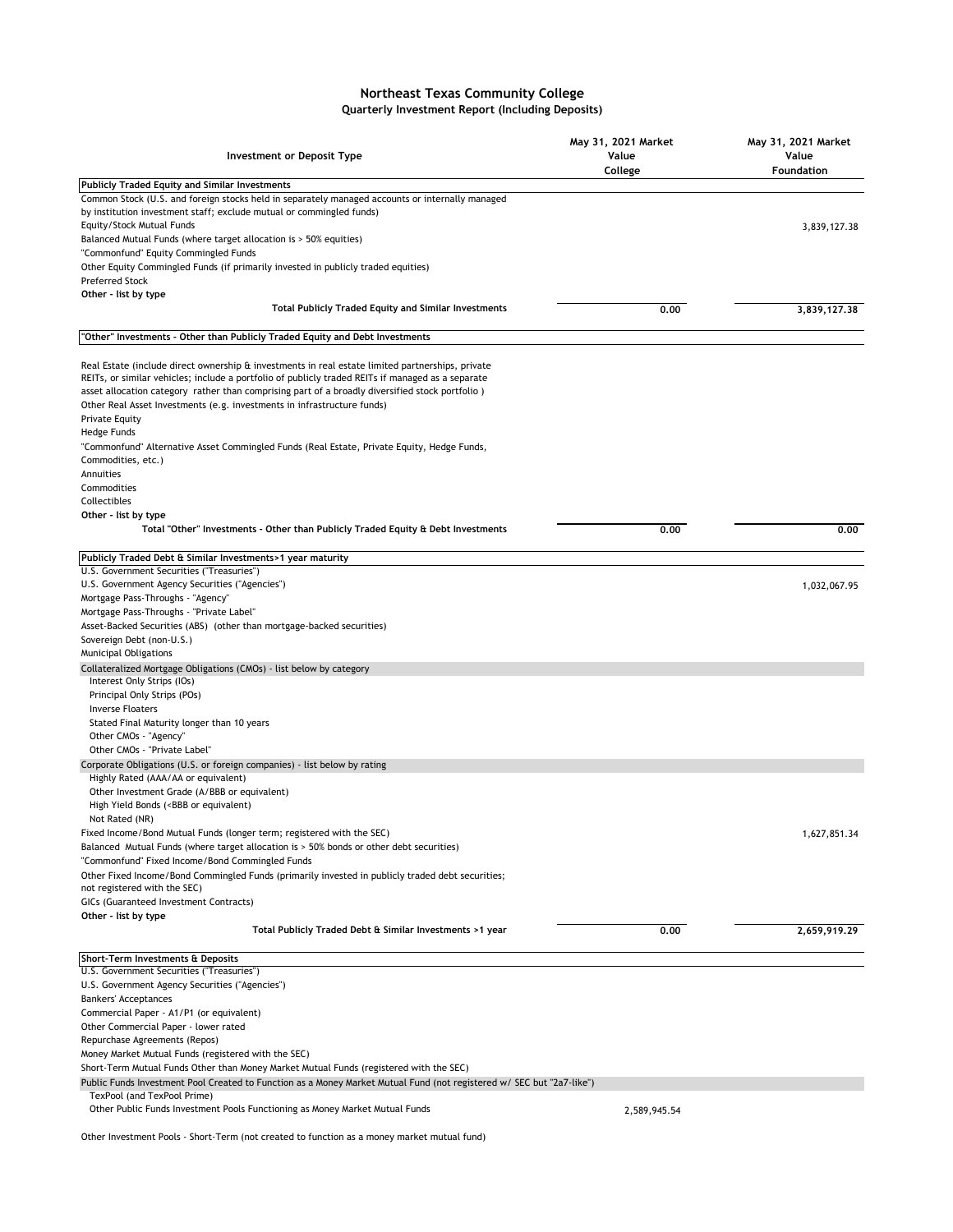## **Northeast Texas Community College Quarterly Investment Report (Including Deposits)**

| Investment or Deposit Type                                                                                                                                                                                                                                                                                                                                                                                   | May 31, 2021 Market<br>Value<br>College | May 31, 2021 Market<br>Value<br>Foundation |
|--------------------------------------------------------------------------------------------------------------------------------------------------------------------------------------------------------------------------------------------------------------------------------------------------------------------------------------------------------------------------------------------------------------|-----------------------------------------|--------------------------------------------|
| <b>Publicly Traded Equity and Similar Investments</b>                                                                                                                                                                                                                                                                                                                                                        |                                         |                                            |
| Common Stock (U.S. and foreign stocks held in separately managed accounts or internally managed<br>by institution investment staff; exclude mutual or commingled funds)                                                                                                                                                                                                                                      |                                         |                                            |
| Equity/Stock Mutual Funds                                                                                                                                                                                                                                                                                                                                                                                    |                                         | 3,839,127.38                               |
| Balanced Mutual Funds (where target allocation is > 50% equities)                                                                                                                                                                                                                                                                                                                                            |                                         |                                            |
| "Commonfund" Equity Commingled Funds                                                                                                                                                                                                                                                                                                                                                                         |                                         |                                            |
| Other Equity Commingled Funds (if primarily invested in publicly traded equities)<br><b>Preferred Stock</b>                                                                                                                                                                                                                                                                                                  |                                         |                                            |
| Other - list by type                                                                                                                                                                                                                                                                                                                                                                                         |                                         |                                            |
| <b>Total Publicly Traded Equity and Similar Investments</b>                                                                                                                                                                                                                                                                                                                                                  | 0.00                                    | 3,839,127.38                               |
| "Other" Investments - Other than Publicly Traded Equity and Debt Investments                                                                                                                                                                                                                                                                                                                                 |                                         |                                            |
| Real Estate (include direct ownership & investments in real estate limited partnerships, private<br>REITs, or similar vehicles; include a portfolio of publicly traded REITs if managed as a separate<br>asset allocation category rather than comprising part of a broadly diversified stock portfolio)<br>Other Real Asset Investments (e.g. investments in infrastructure funds)<br><b>Private Equity</b> |                                         |                                            |
| Hedge Funds                                                                                                                                                                                                                                                                                                                                                                                                  |                                         |                                            |
| "Commonfund" Alternative Asset Commingled Funds (Real Estate, Private Equity, Hedge Funds,<br>Commodities, etc.)                                                                                                                                                                                                                                                                                             |                                         |                                            |
| Annuities                                                                                                                                                                                                                                                                                                                                                                                                    |                                         |                                            |
| Commodities                                                                                                                                                                                                                                                                                                                                                                                                  |                                         |                                            |
| Collectibles                                                                                                                                                                                                                                                                                                                                                                                                 |                                         |                                            |
| Other - list by type<br>Total "Other" Investments - Other than Publicly Traded Equity & Debt Investments                                                                                                                                                                                                                                                                                                     | 0.00                                    | 0.00                                       |
|                                                                                                                                                                                                                                                                                                                                                                                                              |                                         |                                            |
| Publicly Traded Debt & Similar Investments>1 year maturity                                                                                                                                                                                                                                                                                                                                                   |                                         |                                            |
| U.S. Government Securities ("Treasuries")                                                                                                                                                                                                                                                                                                                                                                    |                                         |                                            |
| U.S. Government Agency Securities ("Agencies")                                                                                                                                                                                                                                                                                                                                                               |                                         | 1,032,067.95                               |
| Mortgage Pass-Throughs - "Agency"<br>Mortgage Pass-Throughs - "Private Label"                                                                                                                                                                                                                                                                                                                                |                                         |                                            |
| Asset-Backed Securities (ABS) (other than mortgage-backed securities)                                                                                                                                                                                                                                                                                                                                        |                                         |                                            |
| Sovereign Debt (non-U.S.)                                                                                                                                                                                                                                                                                                                                                                                    |                                         |                                            |
| Municipal Obligations                                                                                                                                                                                                                                                                                                                                                                                        |                                         |                                            |
| Collateralized Mortgage Obligations (CMOs) - list below by category<br>Interest Only Strips (IOs)                                                                                                                                                                                                                                                                                                            |                                         |                                            |
| Principal Only Strips (POs)                                                                                                                                                                                                                                                                                                                                                                                  |                                         |                                            |
| <b>Inverse Floaters</b>                                                                                                                                                                                                                                                                                                                                                                                      |                                         |                                            |
| Stated Final Maturity longer than 10 years                                                                                                                                                                                                                                                                                                                                                                   |                                         |                                            |
| Other CMOs - "Agency"                                                                                                                                                                                                                                                                                                                                                                                        |                                         |                                            |
| Other CMOs - "Private Label"                                                                                                                                                                                                                                                                                                                                                                                 |                                         |                                            |
| Corporate Obligations (U.S. or foreign companies) - list below by rating<br>Highly Rated (AAA/AA or equivalent)                                                                                                                                                                                                                                                                                              |                                         |                                            |
| Other Investment Grade (A/BBB or equivalent)<br>High Yield Bonds ( <bbb equivalent)<="" or="" td=""><td></td><td></td></bbb>                                                                                                                                                                                                                                                                                 |                                         |                                            |
| Not Rated (NR)                                                                                                                                                                                                                                                                                                                                                                                               |                                         |                                            |
| Fixed Income/Bond Mutual Funds (longer term; registered with the SEC)                                                                                                                                                                                                                                                                                                                                        |                                         | 1,627,851.34                               |
| Balanced Mutual Funds (where target allocation is > 50% bonds or other debt securities)                                                                                                                                                                                                                                                                                                                      |                                         |                                            |
| "Commonfund" Fixed Income/Bond Commingled Funds                                                                                                                                                                                                                                                                                                                                                              |                                         |                                            |
| Other Fixed Income/Bond Commingled Funds (primarily invested in publicly traded debt securities;                                                                                                                                                                                                                                                                                                             |                                         |                                            |
| not registered with the SEC)<br>GICs (Guaranteed Investment Contracts)                                                                                                                                                                                                                                                                                                                                       |                                         |                                            |
| Other - list by type                                                                                                                                                                                                                                                                                                                                                                                         |                                         |                                            |
| Total Publicly Traded Debt & Similar Investments >1 year                                                                                                                                                                                                                                                                                                                                                     | 0.00                                    | 2,659,919.29                               |
| Short-Term Investments & Deposits                                                                                                                                                                                                                                                                                                                                                                            |                                         |                                            |
| U.S. Government Securities ("Treasuries")                                                                                                                                                                                                                                                                                                                                                                    |                                         |                                            |
| U.S. Government Agency Securities ("Agencies")                                                                                                                                                                                                                                                                                                                                                               |                                         |                                            |
| <b>Bankers' Acceptances</b>                                                                                                                                                                                                                                                                                                                                                                                  |                                         |                                            |
| Commercial Paper - A1/P1 (or equivalent)<br>Other Commercial Paper - lower rated                                                                                                                                                                                                                                                                                                                             |                                         |                                            |
| Repurchase Agreements (Repos)                                                                                                                                                                                                                                                                                                                                                                                |                                         |                                            |
| Money Market Mutual Funds (registered with the SEC)                                                                                                                                                                                                                                                                                                                                                          |                                         |                                            |
| Short-Term Mutual Funds Other than Money Market Mutual Funds (registered with the SEC)                                                                                                                                                                                                                                                                                                                       |                                         |                                            |
| Public Funds Investment Pool Created to Function as a Money Market Mutual Fund (not registered w/ SEC but "2a7-like")                                                                                                                                                                                                                                                                                        |                                         |                                            |
| TexPool (and TexPool Prime)                                                                                                                                                                                                                                                                                                                                                                                  |                                         |                                            |
| Other Public Funds Investment Pools Functioning as Money Market Mutual Funds                                                                                                                                                                                                                                                                                                                                 | 2,589,945.54                            |                                            |

Other Investment Pools - Short-Term (not created to function as a money market mutual fund)